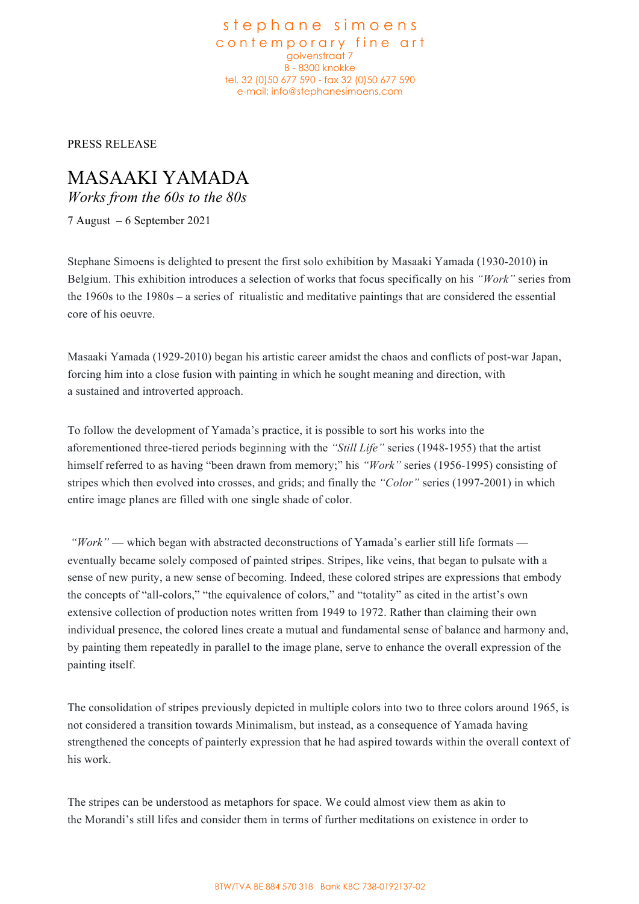stephane simoens contemporary fine art golvenstraat 7 B - 8300 knokke tel. 32 (0)50 677 590 - fax 32 (0)50 677 590 e-mail: info@stephanesimoens.com

PRESS RELEASE

## MASAAKI YAMADA

*Works from the 60s to the 80s*

7 August – 6 September 2021

Stephane Simoens is delighted to present the first solo exhibition by Masaaki Yamada (1930-2010) in Belgium. This exhibition introduces a selection of works that focus specifically on his *"Work"* series from the 1960s to the 1980s – a series of ritualistic and meditative paintings that are considered the essential core of his oeuvre.

Masaaki Yamada (1929-2010) began his artistic career amidst the chaos and conflicts of post-war Japan, forcing him into a close fusion with painting in which he sought meaning and direction, with a sustained and introverted approach.

To follow the development of Yamada's practice, it is possible to sort his works into the aforementioned three-tiered periods beginning with the *"Still Life"* series (1948-1955) that the artist himself referred to as having "been drawn from memory;" his *"Work"* series (1956-1995) consisting of stripes which then evolved into crosses, and grids; and finally the *"Color"* series (1997-2001) in which entire image planes are filled with one single shade of color.

*"Work"* — which began with abstracted deconstructions of Yamada's earlier still life formats eventually became solely composed of painted stripes. Stripes, like veins, that began to pulsate with a sense of new purity, a new sense of becoming. Indeed, these colored stripes are expressions that embody the concepts of "all-colors," "the equivalence of colors," and "totality" as cited in the artist's own extensive collection of production notes written from 1949 to 1972. Rather than claiming their own individual presence, the colored lines create a mutual and fundamental sense of balance and harmony and, by painting them repeatedly in parallel to the image plane, serve to enhance the overall expression of the painting itself.

The consolidation of stripes previously depicted in multiple colors into two to three colors around 1965, is not considered a transition towards Minimalism, but instead, as a consequence of Yamada having strengthened the concepts of painterly expression that he had aspired towards within the overall context of his work.

The stripes can be understood as metaphors for space. We could almost view them as akin to the Morandi's still lifes and consider them in terms of further meditations on existence in order to